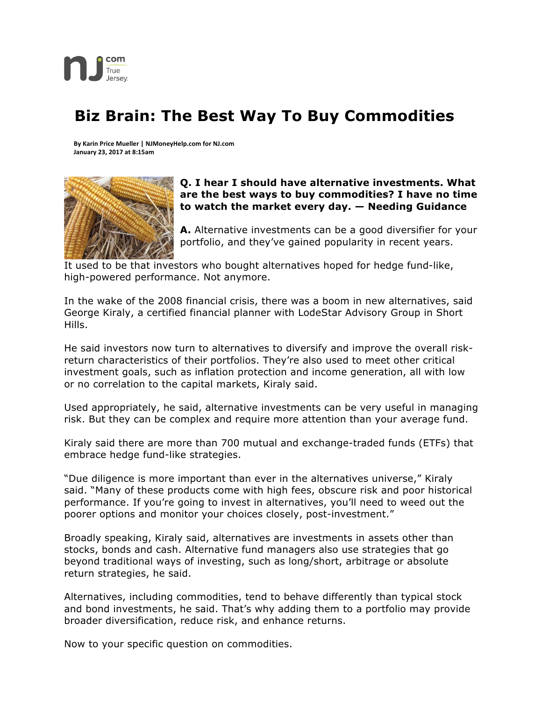

## **Biz Brain: The Best Way To Buy Commodities**

**By Karin Price Mueller | NJMoneyHelp.com for NJ.com January 23, 2017 at 8:15am**



## **Q. I hear I should have alternative investments. What are the best ways to buy commodities? I have no time to watch the market every day. — Needing Guidance**

**A.** Alternative investments can be a good diversifier for your portfolio, and they've gained popularity in recent years.

It used to be that investors who bought alternatives hoped for hedge fund-like, high-powered performance. Not anymore.

In the wake of the 2008 financial crisis, there was a boom in new alternatives, said George Kiraly, a certified financial planner with LodeStar Advisory Group in Short Hills.

He said investors now turn to alternatives to diversify and improve the overall riskreturn characteristics of their portfolios. They're also used to meet other critical investment goals, such as inflation protection and income generation, all with low or no correlation to the capital markets, Kiraly said.

Used appropriately, he said, alternative investments can be very useful in managing risk. But they can be complex and require more attention than your average fund.

Kiraly said there are more than 700 mutual and exchange-traded funds (ETFs) that embrace hedge fund-like strategies.

"Due diligence is more important than ever in the alternatives universe," Kiraly said. "Many of these products come with high fees, obscure risk and poor historical performance. If you're going to invest in alternatives, you'll need to weed out the poorer options and monitor your choices closely, post-investment."

Broadly speaking, Kiraly said, alternatives are investments in assets other than stocks, bonds and cash. Alternative fund managers also use strategies that go beyond traditional ways of investing, such as long/short, arbitrage or absolute return strategies, he said.

Alternatives, including commodities, tend to behave differently than typical stock and bond investments, he said. That's why adding them to a portfolio may provide broader diversification, reduce risk, and enhance returns.

Now to your specific question on commodities.